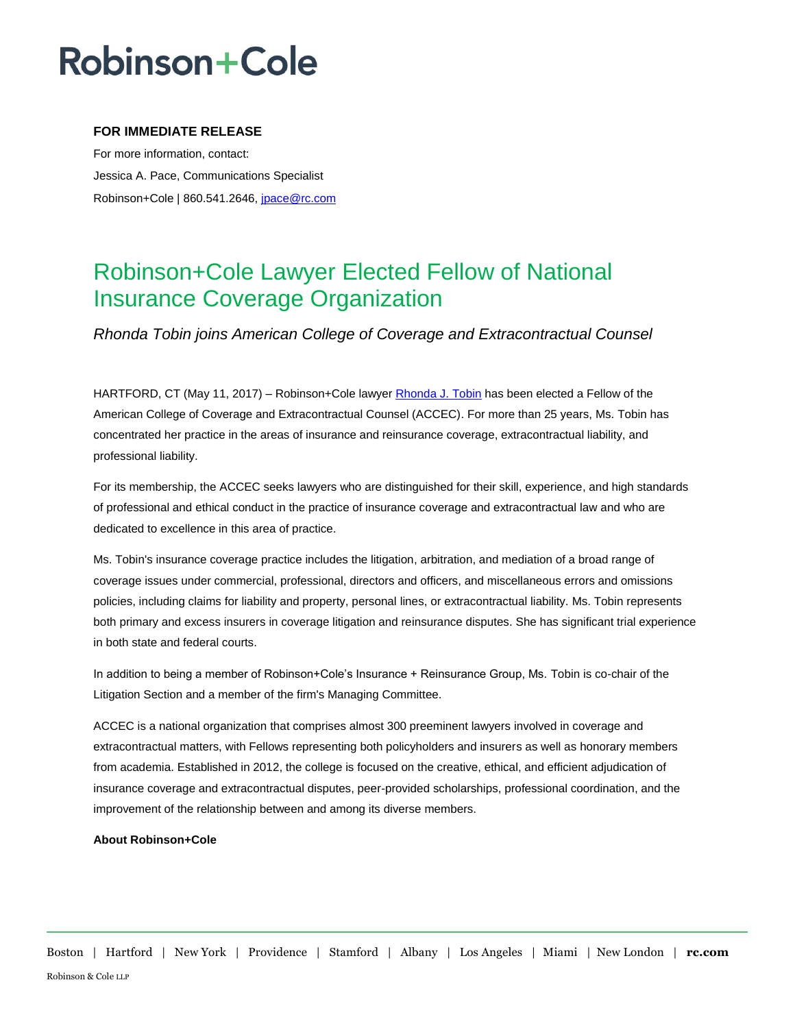# **Robinson+Cole**

### **FOR IMMEDIATE RELEASE**

For more information, contact: Jessica A. Pace, Communications Specialist Robinson+Cole | 860.541.2646, [jpace@rc.com](mailto:jpace@rc.com)

### Robinson+Cole Lawyer Elected Fellow of National Insurance Coverage Organization

*Rhonda Tobin joins American College of Coverage and Extracontractual Counsel*

HARTFORD, CT (May 11, 2017) – Robinson+Cole lawyer [Rhonda J. Tobin](http://www.rc.com/people/RhondaJTobin.cfm) has been elected a Fellow of the American College of Coverage and Extracontractual Counsel (ACCEC). For more than 25 years, Ms. Tobin has concentrated her practice in the areas of insurance and reinsurance coverage, extracontractual liability, and professional liability.

For its membership, the ACCEC seeks lawyers who are distinguished for their skill, experience, and high standards of professional and ethical conduct in the practice of insurance coverage and extracontractual law and who are dedicated to excellence in this area of practice.

Ms. Tobin's insurance coverage practice includes the litigation, arbitration, and mediation of a broad range of coverage issues under commercial, professional, directors and officers, and miscellaneous errors and omissions policies, including claims for liability and property, personal lines, or extracontractual liability. Ms. Tobin represents both primary and excess insurers in coverage litigation and reinsurance disputes. She has significant trial experience in both state and federal courts.

In addition to being a member of Robinson+Cole's Insurance + Reinsurance Group, Ms. Tobin is co-chair of the Litigation Section and a member of the firm's Managing Committee.

ACCEC is a national organization that comprises almost 300 preeminent lawyers involved in coverage and extracontractual matters, with Fellows representing both policyholders and insurers as well as honorary members from academia. Established in 2012, the college is focused on the creative, ethical, and efficient adjudication of insurance coverage and extracontractual disputes, peer-provided scholarships, professional coordination, and the improvement of the relationship between and among its diverse members.

#### **About Robinson+Cole**